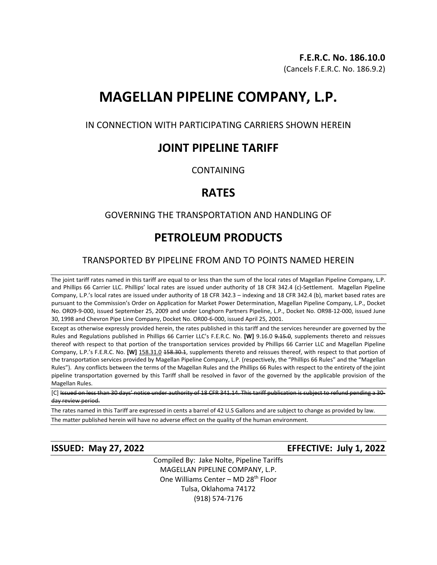# **MAGELLAN PIPELINE COMPANY, L.P.**

IN CONNECTION WITH PARTICIPATING CARRIERS SHOWN HEREIN

## **JOINT PIPELINE TARIFF**

**CONTAINING** 

# **RATES**

## GOVERNING THE TRANSPORTATION AND HANDLING OF

# **PETROLEUM PRODUCTS**

## TRANSPORTED BY PIPELINE FROM AND TO POINTS NAMED HEREIN

The joint tariff rates named in this tariff are equal to or less than the sum of the local rates of Magellan Pipeline Company, L.P. and Phillips 66 Carrier LLC. Phillips' local rates are issued under authority of 18 CFR 342.4 (c)-Settlement. Magellan Pipeline Company, L.P.'s local rates are issued under authority of 18 CFR 342.3 – indexing and 18 CFR 342.4 (b), market based rates are pursuant to the Commission's Order on Application for Market Power Determination, Magellan Pipeline Company, L.P., Docket No. OR09-9-000, issued September 25, 2009 and under Longhorn Partners Pipeline, L.P., Docket No. OR98-12-000, issued June 30, 1998 and Chevron Pipe Line Company, Docket No. OR00-6-000, issued April 25, 2001.

Except as otherwise expressly provided herein, the rates published in this tariff and the services hereunder are governed by the Rules and Regulations published in Phillips 66 Carrier LLC's F.E.R.C. No. **[W]** 9.16.0 9.15.0, supplements thereto and reissues thereof with respect to that portion of the transportation services provided by Phillips 66 Carrier LLC and Magellan Pipeline Company, L.P.'s F.E.R.C. No. **[W]** 158.31.0 158.30.1, supplements thereto and reissues thereof, with respect to that portion of the transportation services provided by Magellan Pipeline Company, L.P. (respectively, the "Phillips 66 Rules" and the "Magellan Rules"). Any conflicts between the terms of the Magellan Rules and the Phillips 66 Rules with respect to the entirety of the joint pipeline transportation governed by this Tariff shall be resolved in favor of the governed by the applicable provision of the Magellan Rules.

[C] Issued on less than 30 days' notice under authority of 18 CFR 341.14. This tariff publication is subject to refund pending a 30day review period.

The rates named in this Tariff are expressed in cents a barrel of 42 U.S Gallons and are subject to change as provided by law.

The matter published herein will have no adverse effect on the quality of the human environment.

## **ISSUED: May 27, 2022 EFFECTIVE: July 1, 2022**

Compiled By: Jake Nolte, Pipeline Tariffs MAGELLAN PIPELINE COMPANY, L.P. One Williams Center - MD 28<sup>th</sup> Floor Tulsa, Oklahoma 74172 (918) 574-7176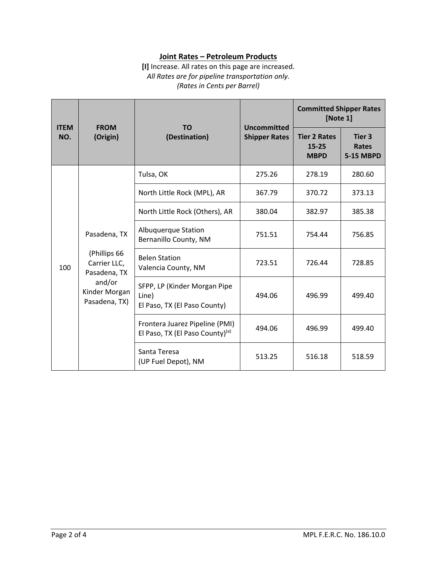### **Joint Rates – Petroleum Products**

**[I]** Increase. All rates on this page are increased. *All Rates are for pipeline transportation only. (Rates in Cents per Barrel)*

| <b>ITEM</b><br>NO. | <b>FROM</b><br>(Origin)                                                                                  | <b>TO</b><br>(Destination)                                            | <b>Uncommitted</b><br><b>Shipper Rates</b> | <b>Committed Shipper Rates</b><br>[Note 1]      |                                            |
|--------------------|----------------------------------------------------------------------------------------------------------|-----------------------------------------------------------------------|--------------------------------------------|-------------------------------------------------|--------------------------------------------|
|                    |                                                                                                          |                                                                       |                                            | <b>Tier 2 Rates</b><br>$15 - 25$<br><b>MBPD</b> | Tier 3<br><b>Rates</b><br><b>5-15 MBPD</b> |
| 100                | Pasadena, TX<br>(Phillips 66<br>Carrier LLC,<br>Pasadena, TX<br>and/or<br>Kinder Morgan<br>Pasadena, TX) | Tulsa, OK                                                             | 275.26                                     | 278.19                                          | 280.60                                     |
|                    |                                                                                                          | North Little Rock (MPL), AR                                           | 367.79                                     | 370.72                                          | 373.13                                     |
|                    |                                                                                                          | North Little Rock (Others), AR                                        | 380.04                                     | 382.97                                          | 385.38                                     |
|                    |                                                                                                          | Albuquerque Station<br>Bernanillo County, NM                          | 751.51                                     | 754.44                                          | 756.85                                     |
|                    |                                                                                                          | <b>Belen Station</b><br>Valencia County, NM                           | 723.51                                     | 726.44                                          | 728.85                                     |
|                    |                                                                                                          | SFPP, LP (Kinder Morgan Pipe<br>Line)<br>El Paso, TX (El Paso County) | 494.06                                     | 496.99                                          | 499.40                                     |
|                    |                                                                                                          | Frontera Juarez Pipeline (PMI)<br>El Paso, TX (El Paso County)(a)     | 494.06                                     | 496.99                                          | 499.40                                     |
|                    |                                                                                                          | Santa Teresa<br>(UP Fuel Depot), NM                                   | 513.25                                     | 516.18                                          | 518.59                                     |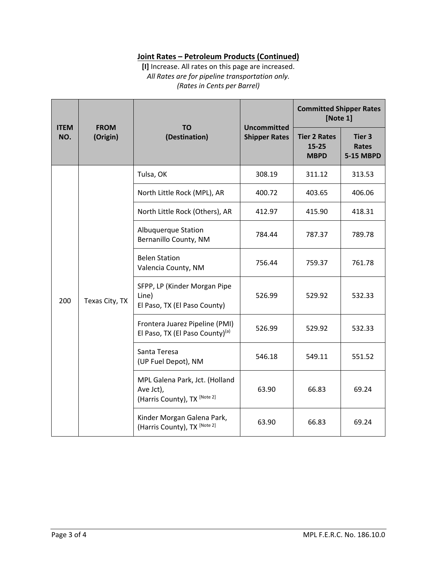## **Joint Rates – Petroleum Products (Continued)**

**[I]** Increase. All rates on this page are increased. *All Rates are for pipeline transportation only. (Rates in Cents per Barrel)*

| <b>ITEM</b><br>NO. | <b>FROM</b><br>(Origin) | <b>TO</b><br>(Destination)                                                  | <b>Uncommitted</b><br><b>Shipper Rates</b> | <b>Committed Shipper Rates</b><br>[Note 1]      |                                            |
|--------------------|-------------------------|-----------------------------------------------------------------------------|--------------------------------------------|-------------------------------------------------|--------------------------------------------|
|                    |                         |                                                                             |                                            | <b>Tier 2 Rates</b><br>$15 - 25$<br><b>MBPD</b> | Tier 3<br><b>Rates</b><br><b>5-15 MBPD</b> |
| 200                | Texas City, TX          | Tulsa, OK                                                                   | 308.19                                     | 311.12                                          | 313.53                                     |
|                    |                         | North Little Rock (MPL), AR                                                 | 400.72                                     | 403.65                                          | 406.06                                     |
|                    |                         | North Little Rock (Others), AR                                              | 412.97                                     | 415.90                                          | 418.31                                     |
|                    |                         | <b>Albuquerque Station</b><br>Bernanillo County, NM                         | 784.44                                     | 787.37                                          | 789.78                                     |
|                    |                         | <b>Belen Station</b><br>Valencia County, NM                                 | 756.44                                     | 759.37                                          | 761.78                                     |
|                    |                         | SFPP, LP (Kinder Morgan Pipe<br>Line)<br>El Paso, TX (El Paso County)       | 526.99                                     | 529.92                                          | 532.33                                     |
|                    |                         | Frontera Juarez Pipeline (PMI)<br>El Paso, TX (El Paso County)(a)           | 526.99                                     | 529.92                                          | 532.33                                     |
|                    |                         | Santa Teresa<br>(UP Fuel Depot), NM                                         | 546.18                                     | 549.11                                          | 551.52                                     |
|                    |                         | MPL Galena Park, Jct. (Holland<br>Ave Jct),<br>(Harris County), TX [Note 2] | 63.90                                      | 66.83                                           | 69.24                                      |
|                    |                         | Kinder Morgan Galena Park,<br>(Harris County), TX [Note 2]                  | 63.90                                      | 66.83                                           | 69.24                                      |